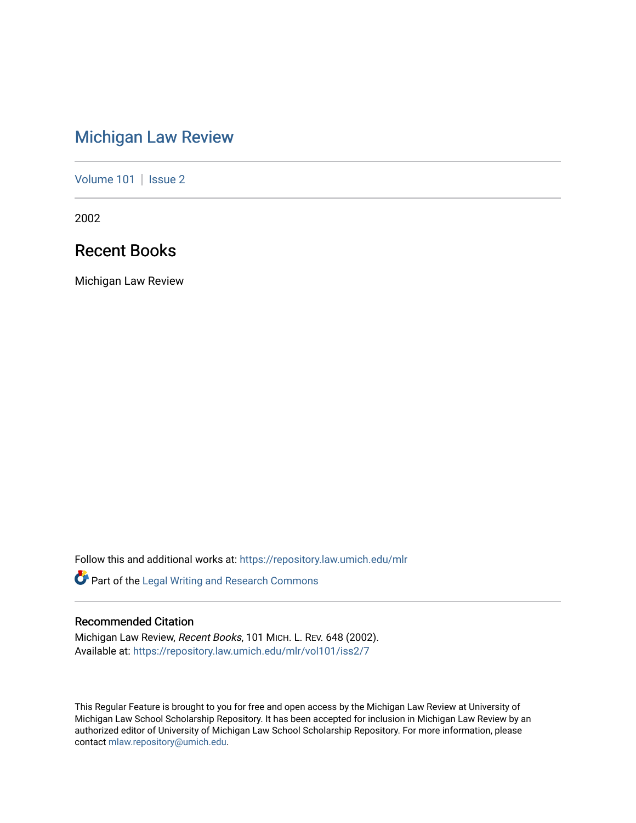# [Michigan Law Review](https://repository.law.umich.edu/mlr)

[Volume 101](https://repository.law.umich.edu/mlr/vol101) | [Issue 2](https://repository.law.umich.edu/mlr/vol101/iss2)

2002

## Recent Books

Michigan Law Review

Follow this and additional works at: [https://repository.law.umich.edu/mlr](https://repository.law.umich.edu/mlr?utm_source=repository.law.umich.edu%2Fmlr%2Fvol101%2Fiss2%2F7&utm_medium=PDF&utm_campaign=PDFCoverPages) 

Part of the [Legal Writing and Research Commons](http://network.bepress.com/hgg/discipline/614?utm_source=repository.law.umich.edu%2Fmlr%2Fvol101%2Fiss2%2F7&utm_medium=PDF&utm_campaign=PDFCoverPages) 

### Recommended Citation

Michigan Law Review, Recent Books, 101 MICH. L. REV. 648 (2002). Available at: [https://repository.law.umich.edu/mlr/vol101/iss2/7](https://repository.law.umich.edu/mlr/vol101/iss2/7?utm_source=repository.law.umich.edu%2Fmlr%2Fvol101%2Fiss2%2F7&utm_medium=PDF&utm_campaign=PDFCoverPages) 

This Regular Feature is brought to you for free and open access by the Michigan Law Review at University of Michigan Law School Scholarship Repository. It has been accepted for inclusion in Michigan Law Review by an authorized editor of University of Michigan Law School Scholarship Repository. For more information, please contact [mlaw.repository@umich.edu](mailto:mlaw.repository@umich.edu).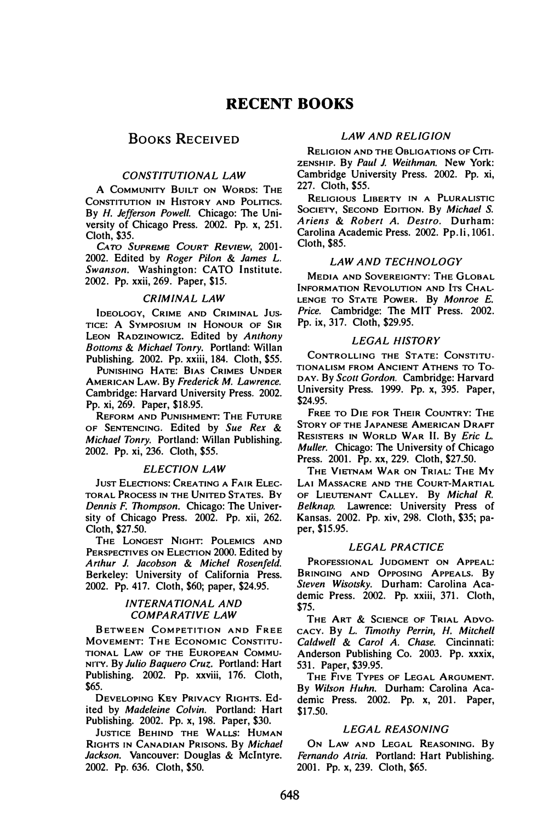### BOOKS RECEIVED

#### CONSTITUTIONAL LAW

A COMMUNITY BUILT ON WORDS: THE CONSTITUTION IN HISTORY AND POLITICS. By H. Jefferson Powell. Chicago: The University of Chicago Press. 2002. Pp. x, 251. Cloth, \$35.

CATO SUPREME COURT RBVIBW, 2001- 2002. Edited by Roger Pilon & James L. Swanson. Washington: CATO Institute. 2002. Pp. xxii, 269. Paper, \$15.

#### CRIMINAL LAW

IDEOLOGY, CRIME AND CRIMINAL Jus. TICE: A SYMPOSIUM IN HONOUR OF SIR LEON RADZINOWICZ. Edited by Anthony Bottoms & Michael Tonry. Portland: Willan Publishing. 2002. Pp. xxiii, 184. Cloth, \$55.

PUNISHING HATE: BIAS CRIMES UNDER AMERICAN LAw. By Frederick M. Lawrence. Cambridge: Harvard University Press. 2002. Pp. xi, 269. Paper, \$18.95.

REFORM AND PUNISHMENT: THE FUTURE OF SENTENCING. Edited by Sue Rex & Michael Tonry. Portland: Willan Publishing. 2002. Pp. xi, 236. Cloth, \$55.

#### ELECTION LAW

JUST ELECTIONS: CREATING A FAIR ELEC-TORAL PROCESS IN THE UNITED STATES. BY Dennis F. Thompson. Chicago: The University of Chicago Press. 2002. Pp. xii, 262. Cloth, \$27.50.

THE LoNGEST NIGHT: POLEMICS AND PERSPECTIVES ON ELECTION 2000. Edited by Arthur J. Jacobson & Michel Rosenfeld. Berkeley: University of California Press. 2002. Pp. 417. Cloth, \$60; paper, \$24.95.

#### INTERNATIONAL AND COMPARATIVE LAW

BETWEEN COMPETITION AND FREE MOVEMENT: THE ECONOMIC CONSTITU-TIONAL LAW OF THE EUROPEAN COMMU· NITY. By Julio Baquero Cruz. Portland: Hart Publishing. 2002. Pp. xxviii, 176. Cloth, \$65.

DEVELOPING Kev PRIVACY RIGHTS. Edited by Madeleine Colvin. Portland: Hart Publishing. 2002. Pp. x, 198. Paper, \$30.

JUSTICE BEHIND THE WALLS: HUMAN RIGHTS IN CANADIAN PRISONS. By Michael Jackson. Vancouver: Douglas & McIntyre. 2002. Pp. 636. Cloth, \$50.

#### LAW AND RELIGION

RELIGION AND THE OBLIGATIONS OF CITI-ZENSHIP. By Paul J. Weithman. New York: Cambridge University Press. 2002. Pp. xi, 227. Cloth, \$55.

RELIGIOUS LIBERTY IN A PLURALISTIC SOCIETY, SECOND EDITION. By Michael S. Ariens & Robert A. Destro. Durham: Carolina Academic Press. 2002. Pp. Ii, 1061. Cloth, \$85.

#### LAW AND TECHNOLOGY

MEDIA AND SOVEREIGNTY: THE GLOBAL INFORMATION REVOLUTION AND ITs CHAL-LENGE TO STATE PowER. By Monroe E. Price. Cambridge: The MIT Press. 2002. Pp. ix, 317. Cloth, \$29.95.

#### LEGAL HISTORY

CONTROLLING THE STATE: CoNsT1Tu-T10NAL1SM FROM ANCIENT ATHENS TO TO-DAY. By Scott Gordon. Cambridge: Harvard University Press. 1999. Pp. x, 395. Paper, \$24.95.

FREE TO DIE FOR THEIR COUNTRY: THE STORY OF THE JAPANESE AMERICAN DRAFf RESISTERS IN WORLD WAR II. By Eric L. Muller. Chicago: The University of Chicago Press. 2001. Pp. xx, 229. Cloth, \$27.50.

THE VIETNAM WAR ON TRIAL: THE MY LAI MASSACRE AND THE COURT-MARTIAL OF LIEUTENANT CALLEY. By Michal R. Belknap. Lawrence: University Press of Kansas. 2002. Pp. xiv, 298. Cloth, \$35; paper, \$15.95.

#### LEGAL PRACTICE

PROFESSIONAL JUDGMENT ON APPEAL: BRINGING AND OPPOSING APPEALS. By Steven Wisotsky. Durham: Carolina Academic Press. 2002. Pp. xxiii, 371. Cloth, \$75.

THE ART & SCIENCE OF TRIAL ADVO-CACY. By L. Timothy Perrin, H. Mitchell Caldwell & Carol A. Chase. Cincinnati: Anderson Publishing Co. 2003. Pp. xxxix, 531. Paper, \$39.95.

THE FIVE TYPES OF LEGAL ARGUMENT. By Wilson Huhn. Durham: Carolina Academic Press. 2002. Pp. x, 201. Paper, \$17.50.

#### LEGAL REASONING

ON LAW AND LEGAL REASONING. By Fernando Atria. Portland: Hart Publishing. 2001. Pp. x, 239. Cloth, \$65.